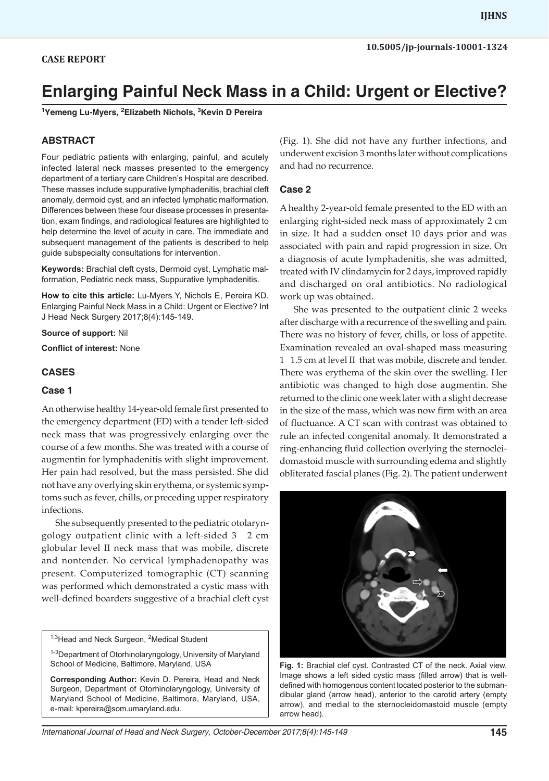# **Enlarging Painful Neck Mass in a Child: Urgent or Elective?**

**1 Yemeng Lu-Myers, 2 Elizabeth Nichols, 3 Kevin D Pereira**

## **ABSTRACT**

Four pediatric patients with enlarging, painful, and acutely infected lateral neck masses presented to the emergency department of a tertiary care Children's Hospital are described. These masses include suppurative lymphadenitis, brachial cleft anomaly, dermoid cyst, and an infected lymphatic malformation. Differences between these four disease processes in presentation, exam findings, and radiological features are highlighted to help determine the level of acuity in care. The immediate and subsequent management of the patients is described to help guide subspecialty consultations for intervention.

**Keywords:** Brachial cleft cysts, Dermoid cyst, Lymphatic malformation, Pediatric neck mass, Suppurative lymphadenitis.

**How to cite this article:** Lu-Myers Y, Nichols E, Pereira KD. Enlarging Painful Neck Mass in a Child: Urgent or Elective? Int J Head Neck Surgery 2017;8(4):145-149.

**Source of support:** Nil

**Conflict of interest:** None

#### **CASES**

#### **Case 1**

An otherwise healthy 14-year-old female first presented to the emergency department (ED) with a tender left-sided neck mass that was progressively enlarging over the course of a few months. She was treated with a course of augmentin for lymphadenitis with slight improvement. Her pain had resolved, but the mass persisted. She did not have any overlying skin erythema, or systemic symptoms such as fever, chills, or preceding upper respiratory infections.

She subsequently presented to the pediatric otolaryngology outpatient clinic with a left-sided 3 2 cm globular level II neck mass that was mobile, discrete and nontender. No cervical lymphadenopathy was present. Computerized tomographic (CT) scanning was performed which demonstrated a cystic mass with well-defined boarders suggestive of a brachial cleft cyst

<sup>1,3</sup>Head and Neck Surgeon, <sup>2</sup>Medical Student

<sup>1-3</sup>Department of Otorhinolaryngology, University of Maryland School of Medicine, Baltimore, Maryland, USA

**Corresponding Author:** Kevin D. Pereira, Head and Neck Surgeon, Department of Otorhinolaryngology, University of Maryland School of Medicine, Baltimore, Maryland, USA, e-mail: kpereira@som.umaryland.edu.

(Fig. 1). She did not have any further infections, and underwent excision 3 months later without complications and had no recurrence.

#### **Case 2**

A healthy 2-year-old female presented to the ED with an enlarging right-sided neck mass of approximately 2 cm in size. It had a sudden onset 10 days prior and was associated with pain and rapid progression in size. On a diagnosis of acute lymphadenitis, she was admitted, treated with IV clindamycin for 2 days, improved rapidly and discharged on oral antibiotics. No radiological work up was obtained.

She was presented to the outpatient clinic 2 weeks after discharge with a recurrence of the swelling and pain. There was no history of fever, chills, or loss of appetite. Examination revealed an oval-shaped mass measuring 1 1.5 cm at level II that was mobile, discrete and tender. There was erythema of the skin over the swelling. Her antibiotic was changed to high dose augmentin. She returned to the clinic one week later with a slight decrease in the size of the mass, which was now firm with an area of fluctuance. A CT scan with contrast was obtained to rule an infected congenital anomaly. It demonstrated a ring-enhancing fluid collection overlying the sternocleidomastoid muscle with surrounding edema and slightly obliterated fascial planes (Fig. 2). The patient underwent



**Fig. 1:** Brachial clef cyst. Contrasted CT of the neck. Axial view. Image shows a left sided cystic mass (filled arrow) that is welldefined with homogenous content located posterior to the submandibular gland (arrow head), anterior to the carotid artery (empty arrow), and medial to the sternocleidomastoid muscle (empty arrow head).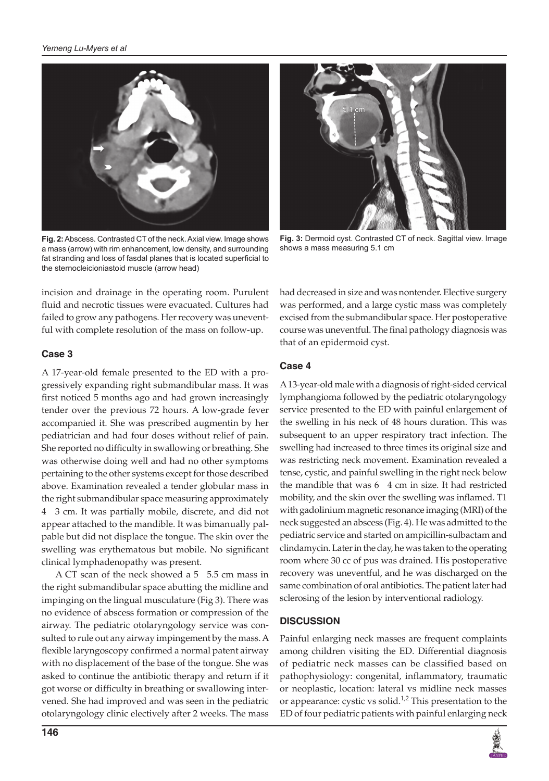

**Fig. 2:** Abscess. Contrasted CT of the neck. Axial view. Image shows a mass (arrow) with rim enhancement, low density, and surrounding fat stranding and loss of fasdal planes that is located superficial to the sternocleicioniastoid muscle (arrow head)



**Fig. 3:** Dermoid cyst. Contrasted CT of neck. Sagittal view. Image shows a mass measuring 5.1 cm

incision and drainage in the operating room. Purulent fluid and necrotic tissues were evacuated. Cultures had failed to grow any pathogens. Her recovery was uneventful with complete resolution of the mass on follow-up.

## **Case 3**

A 17-year-old female presented to the ED with a progressively expanding right submandibular mass. It was first noticed 5 months ago and had grown increasingly tender over the previous 72 hours. A low-grade fever accompanied it. She was prescribed augmentin by her pediatrician and had four doses without relief of pain. She reported no difficulty in swallowing or breathing. She was otherwise doing well and had no other symptoms pertaining to the other systems except for those described above. Examination revealed a tender globular mass in the right submandibular space measuring approximately 4 3 cm. It was partially mobile, discrete, and did not appear attached to the mandible. It was bimanually palpable but did not displace the tongue. The skin over the swelling was erythematous but mobile. No significant clinical lymphadenopathy was present.

A CT scan of the neck showed a 5 5.5 cm mass in the right submandibular space abutting the midline and impinging on the lingual musculature (Fig 3). There was no evidence of abscess formation or compression of the airway. The pediatric otolaryngology service was consulted to rule out any airway impingement by the mass. A flexible laryngoscopy confirmed a normal patent airway with no displacement of the base of the tongue. She was asked to continue the antibiotic therapy and return if it got worse or difficulty in breathing or swallowing intervened. She had improved and was seen in the pediatric otolaryngology clinic electively after 2 weeks. The mass

had decreased in size and was nontender. Elective surgery was performed, and a large cystic mass was completely excised from the submandibular space. Her postoperative course was uneventful. The final pathology diagnosis was that of an epidermoid cyst.

# **Case 4**

A 13-year-old male with a diagnosis of right-sided cervical lymphangioma followed by the pediatric otolaryngology service presented to the ED with painful enlargement of the swelling in his neck of 48 hours duration. This was subsequent to an upper respiratory tract infection. The swelling had increased to three times its original size and was restricting neck movement. Examination revealed a tense, cystic, and painful swelling in the right neck below the mandible that was 6 4 cm in size. It had restricted mobility, and the skin over the swelling was inflamed. T1 with gadolinium magnetic resonance imaging (MRI) of the neck suggested an abscess (Fig. 4). He was admitted to the pediatric service and started on ampicillin-sulbactam and clindamycin. Later in the day, he was taken to the operating room where 30 cc of pus was drained. His postoperative recovery was uneventful, and he was discharged on the same combination of oral antibiotics. The patient later had sclerosing of the lesion by interventional radiology.

## **DISCUSSION**

Painful enlarging neck masses are frequent complaints among children visiting the ED. Differential diagnosis of pediatric neck masses can be classified based on pathophysiology: congenital, inflammatory, traumatic or neoplastic, location: lateral vs midline neck masses or appearance: cystic vs solid.<sup>1,2</sup> This presentation to the ED of four pediatric patients with painful enlarging neck

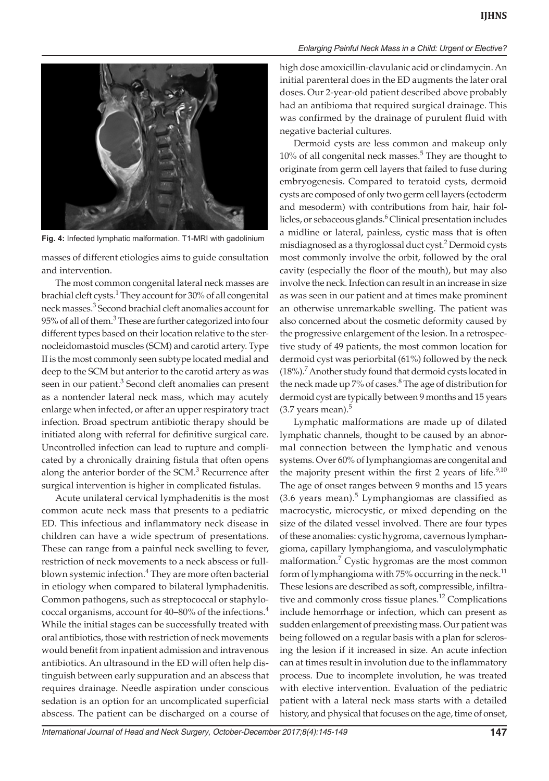



**Fig. 4:** Infected lymphatic malformation. T1-MRI with gadolinium

masses of different etiologies aims to guide consultation and intervention.

The most common congenital lateral neck masses are brachial cleft cysts.<sup>1</sup> They account for 30% of all congenital neck masses.3 Second brachial cleft anomalies account for 95% of all of them.<sup>3</sup> These are further categorized into four different types based on their location relative to the sternocleidomastoid muscles (SCM) and carotid artery. Type II is the most commonly seen subtype located medial and deep to the SCM but anterior to the carotid artery as was seen in our patient.<sup>3</sup> Second cleft anomalies can present as a nontender lateral neck mass, which may acutely enlarge when infected, or after an upper respiratory tract infection. Broad spectrum antibiotic therapy should be initiated along with referral for definitive surgical care. Uncontrolled infection can lead to rupture and complicated by a chronically draining fistula that often opens along the anterior border of the  $SCM$ .<sup>3</sup> Recurrence after surgical intervention is higher in complicated fistulas.

Acute unilateral cervical lymphadenitis is the most common acute neck mass that presents to a pediatric ED. This infectious and inflammatory neck disease in children can have a wide spectrum of presentations. These can range from a painful neck swelling to fever, restriction of neck movements to a neck abscess or fullblown systemic infection.<sup>4</sup> They are more often bacterial in etiology when compared to bilateral lymphadenitis. Common pathogens, such as streptococcal or staphylococcal organisms, account for 40–80% of the infections.<sup>4</sup> While the initial stages can be successfully treated with oral antibiotics, those with restriction of neck movements would benefit from inpatient admission and intravenous antibiotics. An ultrasound in the ED will often help distinguish between early suppuration and an abscess that requires drainage. Needle aspiration under conscious sedation is an option for an uncomplicated superficial abscess. The patient can be discharged on a course of

high dose amoxicillin-clavulanic acid or clindamycin. An initial parenteral does in the ED augments the later oral doses. Our 2-year-old patient described above probably had an antibioma that required surgical drainage. This was confirmed by the drainage of purulent fluid with negative bacterial cultures.

Dermoid cysts are less common and makeup only 10% of all congenital neck masses. $5$  They are thought to originate from germ cell layers that failed to fuse during embryogenesis. Compared to teratoid cysts, dermoid cysts are composed of only two germ cell layers (ectoderm and mesoderm) with contributions from hair, hair follicles, or sebaceous glands.<sup>6</sup> Clinical presentation includes a midline or lateral, painless, cystic mass that is often misdiagnosed as a thyroglossal duct cyst.<sup>2</sup> Dermoid cysts most commonly involve the orbit, followed by the oral cavity (especially the floor of the mouth), but may also involve the neck. Infection can result in an increase in size as was seen in our patient and at times make prominent an otherwise unremarkable swelling. The patient was also concerned about the cosmetic deformity caused by the progressive enlargement of the lesion. In a retrospective study of 49 patients, the most common location for dermoid cyst was periorbital (61%) followed by the neck (18%).<sup>7</sup> Another study found that dermoid cysts located in the neck made up 7% of cases.<sup>8</sup> The age of distribution for dermoid cyst are typically between 9 months and 15 years  $(3.7 \text{ years mean})$ .<sup>5</sup>

Lymphatic malformations are made up of dilated lymphatic channels, thought to be caused by an abnormal connection between the lymphatic and venous systems. Over 60% of lymphangiomas are congenital and the majority present within the first 2 years of life. $9,10$ The age of onset ranges between 9 months and 15 years  $(3.6 \text{ years mean})$ .<sup>5</sup> Lymphangiomas are classified as macrocystic, microcystic, or mixed depending on the size of the dilated vessel involved. There are four types of these anomalies: cystic hygroma, cavernous lymphangioma, capillary lymphangioma, and vasculolymphatic malformation.<sup>7</sup> Cystic hygromas are the most common form of lymphangioma with 75% occurring in the neck.<sup>11</sup> These lesions are described as soft, compressible, infiltrative and commonly cross tissue planes.<sup>12</sup> Complications include hemorrhage or infection, which can present as sudden enlargement of preexisting mass. Our patient was being followed on a regular basis with a plan for sclerosing the lesion if it increased in size. An acute infection can at times result in involution due to the inflammatory process. Due to incomplete involution, he was treated with elective intervention. Evaluation of the pediatric patient with a lateral neck mass starts with a detailed history, and physical that focuses on the age, time of onset,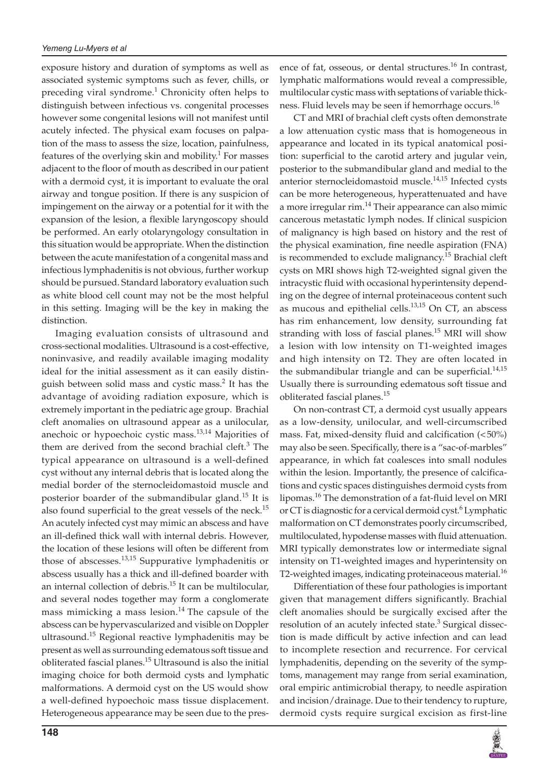exposure history and duration of symptoms as well as associated systemic symptoms such as fever, chills, or preceding viral syndrome.<sup>1</sup> Chronicity often helps to distinguish between infectious vs. congenital processes however some congenital lesions will not manifest until acutely infected. The physical exam focuses on palpation of the mass to assess the size, location, painfulness, features of the overlying skin and mobility.<sup>1</sup> For masses adjacent to the floor of mouth as described in our patient with a dermoid cyst, it is important to evaluate the oral airway and tongue position. If there is any suspicion of impingement on the airway or a potential for it with the expansion of the lesion, a flexible laryngoscopy should be performed. An early otolaryngology consultation in this situation would be appropriate. When the distinction between the acute manifestation of a congenital mass and infectious lymphadenitis is not obvious, further workup should be pursued. Standard laboratory evaluation such as white blood cell count may not be the most helpful in this setting. Imaging will be the key in making the distinction.

Imaging evaluation consists of ultrasound and cross-sectional modalities. Ultrasound is a cost-effective, noninvasive, and readily available imaging modality ideal for the initial assessment as it can easily distinguish between solid mass and cystic mass.<sup>2</sup> It has the advantage of avoiding radiation exposure, which is extremely important in the pediatric age group. Brachial cleft anomalies on ultrasound appear as a unilocular, anechoic or hypoechoic cystic mass.13,14 Majorities of them are derived from the second brachial cleft. $3$  The typical appearance on ultrasound is a well-defined cyst without any internal debris that is located along the medial border of the sternocleidomastoid muscle and posterior boarder of the submandibular gland.<sup>15</sup> It is also found superficial to the great vessels of the neck.<sup>15</sup> An acutely infected cyst may mimic an abscess and have an ill-defined thick wall with internal debris. However, the location of these lesions will often be different from those of abscesses. $13,15$  Suppurative lymphadenitis or abscess usually has a thick and ill-defined boarder with an internal collection of debris.<sup>15</sup> It can be multilocular, and several nodes together may form a conglomerate mass mimicking a mass lesion. $14$  The capsule of the abscess can be hypervascularized and visible on Doppler ultrasound.<sup>15</sup> Regional reactive lymphadenitis may be present as well as surrounding edematous soft tissue and obliterated fascial planes.<sup>15</sup> Ultrasound is also the initial imaging choice for both dermoid cysts and lymphatic malformations. A dermoid cyst on the US would show a well-defined hypoechoic mass tissue displacement. Heterogeneous appearance may be seen due to the presence of fat, osseous, or dental structures.<sup>16</sup> In contrast, lymphatic malformations would reveal a compressible, multilocular cystic mass with septations of variable thickness. Fluid levels may be seen if hemorrhage occurs.<sup>16</sup>

CT and MRI of brachial cleft cysts often demonstrate a low attenuation cystic mass that is homogeneous in appearance and located in its typical anatomical position: superficial to the carotid artery and jugular vein, posterior to the submandibular gland and medial to the anterior sternocleidomastoid muscle.<sup>14,15</sup> Infected cysts can be more heterogeneous, hyperattenuated and have a more irregular rim.<sup>14</sup> Their appearance can also mimic cancerous metastatic lymph nodes. If clinical suspicion of malignancy is high based on history and the rest of the physical examination, fine needle aspiration (FNA) is recommended to exclude malignancy.<sup>15</sup> Brachial cleft cysts on MRI shows high T2-weighted signal given the intracystic fluid with occasional hyperintensity depending on the degree of internal proteinaceous content such as mucous and epithelial cells.<sup>13,15</sup> On CT, an abscess has rim enhancement, low density, surrounding fat stranding with loss of fascial planes.<sup>15</sup> MRI will show a lesion with low intensity on T1-weighted images and high intensity on T2. They are often located in the submandibular triangle and can be superficial. $14,15$ Usually there is surrounding edematous soft tissue and obliterated fascial planes.<sup>15</sup>

On non-contrast CT, a dermoid cyst usually appears as a low-density, unilocular, and well-circumscribed mass. Fat, mixed-density fluid and calcification (<50%) may also be seen. Specifically, there is a "sac-of-marbles" appearance, in which fat coalesces into small nodules within the lesion. Importantly, the presence of calcifications and cystic spaces distinguishes dermoid cysts from lipomas.16 The demonstration of a fat-fluid level on MRI or CT is diagnostic for a cervical dermoid cyst.<sup>6</sup> Lymphatic malformation on CT demonstrates poorly circumscribed, multiloculated, hypodense masses with fluid attenuation. MRI typically demonstrates low or intermediate signal intensity on T1-weighted images and hyperintensity on T2-weighted images, indicating proteinaceous material.<sup>16</sup>

Differentiation of these four pathologies is important given that management differs significantly. Brachial cleft anomalies should be surgically excised after the resolution of an acutely infected state.<sup>3</sup> Surgical dissection is made difficult by active infection and can lead to incomplete resection and recurrence. For cervical lymphadenitis, depending on the severity of the symptoms, management may range from serial examination, oral empiric antimicrobial therapy, to needle aspiration and incision/drainage. Due to their tendency to rupture, dermoid cysts require surgical excision as first-line